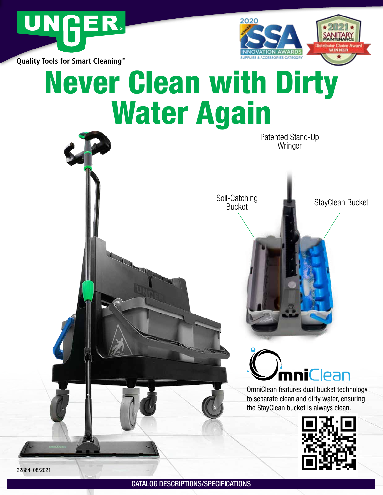



Quality Tools for Smart Cleaning<sup>™</sup>

# Never Clean with Dirty Water Again

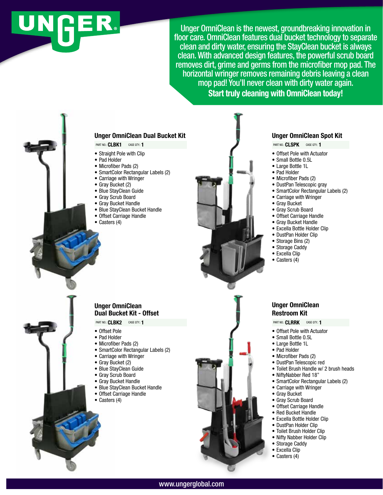# JNGER.

Unger OmniClean is the newest, groundbreaking innovation in floor care. OmniClean features dual bucket technology to separate clean and dirty water, ensuring the StayClean bucket is always clean. With advanced design features, the powerful scrub board removes dirt, grime and germs from the microfiber mop pad. The horizontal wringer removes remaining debris leaving a clean mop pad! You'll never clean with dirty water again. Start truly cleaning with OmniClean today!





#### Unger OmniClean Spot Kit

PART NO.: CLSPK CASE QTY.: 1

- Offset Pole with Actuator
- Small Bottle 0.5L
- Large Bottle 1L
- Pad Holder
- Microfiber Pads (2)
- DustPan Telescopic gray
- SmartColor Rectangular Labels (2)
- Carriage with Wringer
- Gray Bucket
- Gray Scrub Board
- Offset Carriage Handle
- Gray Bucket Handle
- Excella Bottle Holder Clip
- DustPan Holder Clip
- Storage Bins (2)
- Storage Caddy
- Excella Clip
- Casters (4)
- 

#### Unger OmniClean Restroom Kit

PART NO.: CIRRK CASE QTY.: 1

- Offset Pole with Actuator
- Small Bottle 0.5L
- Large Bottle 1L
- Pad Holder
- Microfiber Pads (2)
- DustPan Telescopic red
- Toilet Brush Handle w/ 2 brush heads
- NiftyNabber Red 18"
- 
- SmartColor Rectangular Labels (2)
- Carriage with Wringer
- Gray Bucket
- Gray Scrub Board
- Offset Carriage Handle
- Red Bucket Handle
- Excella Bottle Holder Clip
- 
- 
- 
- 
- 
- 
- 
- DustPan Holder Clip
- Toilet Brush Holder Clip
- Nifty Nabber Holder Clip
- Storage Caddy
- Excella Clip
- Casters (4)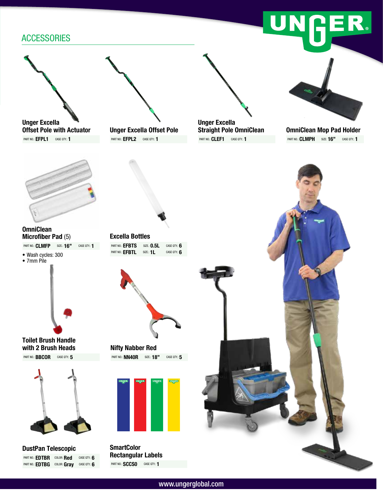## **ACCESSORIES**



### Microfiber Pad (5) PART NO.: **CLMFP** SIZE.: **16"** CASE QTY.: **1**

• Wash cycles: 300





#### Toilet Brush Handle with 2 Brush Heads



DustPan Telescopic PART NO.: **EDTBR** COLOR: **Red** CASE QTY.: 6 PART NO.: EDTBG COLOR: Gray CASE QTY.: 6



Unger Excella Offset Pole PART NO.: **EFPL2** CASE QTY: 1



PART NO.: CLEF1 CASE QTY.: 1



NGER

OmniClean Mop Pad Holder PART NO.: **CLMPH** SIZE: **16"** CASE QTY.: **1** 



Excella Bottles PART NO.: **EFBTS** SIZE.: **0.5L** CASE QTY.: **6** PART NO.: **EFBTL** SIZE.: **1L** CASE QTY.: **6** 



Nifty Nabber Red PART NO.: **NN40R** SIZE.: **18"** CASE QTY.: **5** 



**SmartColor** Rectangular Labels PART NO.: **SCCSO** CASE QTY.: 1